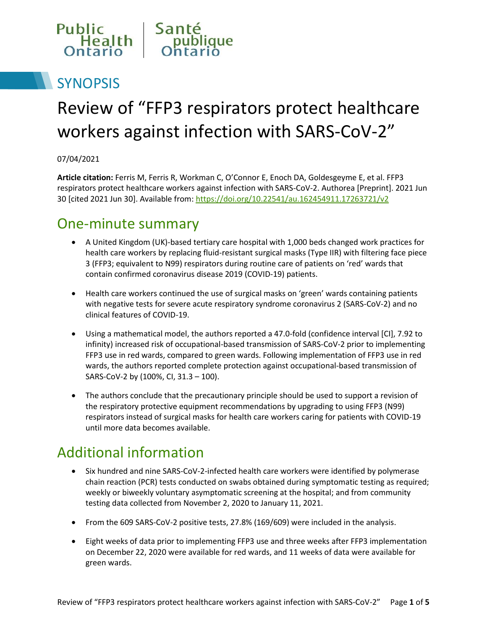

# **SYNOPSIS**

# Review of "FFP3 respirators protect healthcare workers against infection with SARS-CoV-2"

#### 07/04/2021

**Article citation:** Ferris M, Ferris R, Workman C, O'Connor E, Enoch DA, Goldesgeyme E, et al. FFP3 respirators protect healthcare workers against infection with SARS-CoV-2. Authorea [Preprint]. 2021 Jun 30 [cited 2021 Jun 30]. Available from:<https://doi.org/10.22541/au.162454911.17263721/v2>

#### One-minute summary

- A United Kingdom (UK)-based tertiary care hospital with 1,000 beds changed work practices for health care workers by replacing fluid-resistant surgical masks (Type IIR) with filtering face piece 3 (FFP3; equivalent to N99) respirators during routine care of patients on 'red' wards that contain confirmed coronavirus disease 2019 (COVID-19) patients.
- Health care workers continued the use of surgical masks on 'green' wards containing patients with negative tests for severe acute respiratory syndrome coronavirus 2 (SARS-CoV-2) and no clinical features of COVID-19.
- Using a mathematical model, the authors reported a 47.0-fold (confidence interval [CI], 7.92 to infinity) increased risk of occupational-based transmission of SARS-CoV-2 prior to implementing FFP3 use in red wards, compared to green wards. Following implementation of FFP3 use in red wards, the authors reported complete protection against occupational-based transmission of SARS-CoV-2 by (100%, CI, 31.3 – 100).
- The authors conclude that the precautionary principle should be used to support a revision of the respiratory protective equipment recommendations by upgrading to using FFP3 (N99) respirators instead of surgical masks for health care workers caring for patients with COVID-19 until more data becomes available.

### Additional information

- Six hundred and nine SARS-CoV-2-infected health care workers were identified by polymerase chain reaction (PCR) tests conducted on swabs obtained during symptomatic testing as required; weekly or biweekly voluntary asymptomatic screening at the hospital; and from community testing data collected from November 2, 2020 to January 11, 2021.
- From the 609 SARS-CoV-2 positive tests, 27.8% (169/609) were included in the analysis.
- Eight weeks of data prior to implementing FFP3 use and three weeks after FFP3 implementation on December 22, 2020 were available for red wards, and 11 weeks of data were available for green wards.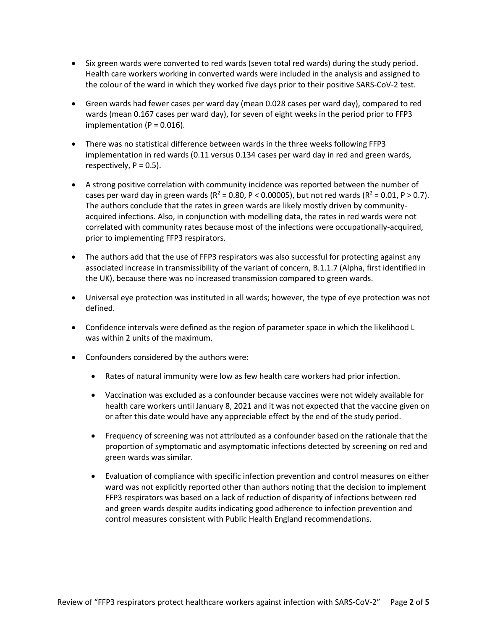- Six green wards were converted to red wards (seven total red wards) during the study period. Health care workers working in converted wards were included in the analysis and assigned to the colour of the ward in which they worked five days prior to their positive SARS-CoV-2 test.
- Green wards had fewer cases per ward day (mean 0.028 cases per ward day), compared to red wards (mean 0.167 cases per ward day), for seven of eight weeks in the period prior to FFP3 implementation ( $P = 0.016$ ).
- There was no statistical difference between wards in the three weeks following FFP3 implementation in red wards (0.11 versus 0.134 cases per ward day in red and green wards, respectively,  $P = 0.5$ ).
- A strong positive correlation with community incidence was reported between the number of cases per ward day in green wards ( $R^2$  = 0.80, P < 0.00005), but not red wards ( $R^2$  = 0.01, P > 0.7). The authors conclude that the rates in green wards are likely mostly driven by communityacquired infections. Also, in conjunction with modelling data, the rates in red wards were not correlated with community rates because most of the infections were occupationally-acquired, prior to implementing FFP3 respirators.
- The authors add that the use of FFP3 respirators was also successful for protecting against any associated increase in transmissibility of the variant of concern, B.1.1.7 (Alpha, first identified in the UK), because there was no increased transmission compared to green wards.
- Universal eye protection was instituted in all wards; however, the type of eye protection was not defined.
- Confidence intervals were defined as the region of parameter space in which the likelihood L was within 2 units of the maximum.
- Confounders considered by the authors were:
	- Rates of natural immunity were low as few health care workers had prior infection.
	- Vaccination was excluded as a confounder because vaccines were not widely available for health care workers until January 8, 2021 and it was not expected that the vaccine given on or after this date would have any appreciable effect by the end of the study period.
	- Frequency of screening was not attributed as a confounder based on the rationale that the proportion of symptomatic and asymptomatic infections detected by screening on red and green wards was similar.
	- Evaluation of compliance with specific infection prevention and control measures on either ward was not explicitly reported other than authors noting that the decision to implement FFP3 respirators was based on a lack of reduction of disparity of infections between red and green wards despite audits indicating good adherence to infection prevention and control measures consistent with Public Health England recommendations.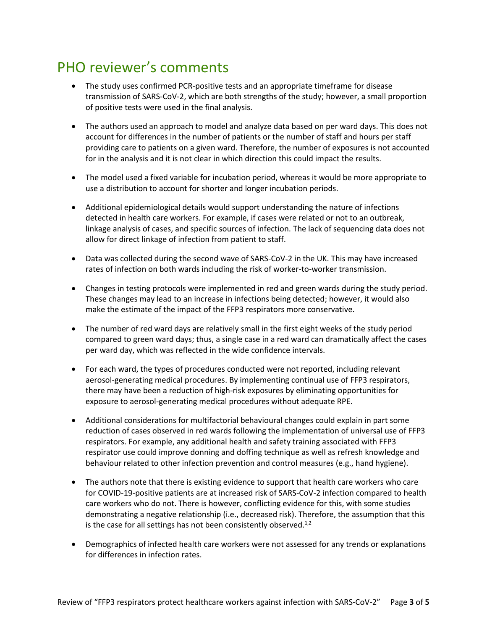# PHO reviewer's comments

- The study uses confirmed PCR-positive tests and an appropriate timeframe for disease transmission of SARS-CoV-2, which are both strengths of the study; however, a small proportion of positive tests were used in the final analysis.
- The authors used an approach to model and analyze data based on per ward days. This does not account for differences in the number of patients or the number of staff and hours per staff providing care to patients on a given ward. Therefore, the number of exposures is not accounted for in the analysis and it is not clear in which direction this could impact the results.
- The model used a fixed variable for incubation period, whereas it would be more appropriate to use a distribution to account for shorter and longer incubation periods.
- Additional epidemiological details would support understanding the nature of infections detected in health care workers. For example, if cases were related or not to an outbreak, linkage analysis of cases, and specific sources of infection. The lack of sequencing data does not allow for direct linkage of infection from patient to staff.
- Data was collected during the second wave of SARS-CoV-2 in the UK. This may have increased rates of infection on both wards including the risk of worker-to-worker transmission.
- Changes in testing protocols were implemented in red and green wards during the study period. These changes may lead to an increase in infections being detected; however, it would also make the estimate of the impact of the FFP3 respirators more conservative.
- The number of red ward days are relatively small in the first eight weeks of the study period compared to green ward days; thus, a single case in a red ward can dramatically affect the cases per ward day, which was reflected in the wide confidence intervals.
- For each ward, the types of procedures conducted were not reported, including relevant aerosol-generating medical procedures. By implementing continual use of FFP3 respirators, there may have been a reduction of high-risk exposures by eliminating opportunities for exposure to aerosol-generating medical procedures without adequate RPE.
- Additional considerations for multifactorial behavioural changes could explain in part some reduction of cases observed in red wards following the implementation of universal use of FFP3 respirators. For example, any additional health and safety training associated with FFP3 respirator use could improve donning and doffing technique as well as refresh knowledge and behaviour related to other infection prevention and control measures (e.g., hand hygiene).
- The authors note that there is existing evidence to support that health care workers who care for COVID-19-positive patients are at increased risk of SARS-CoV-2 infection compared to health care workers who do not. There is however, conflicting evidence for this, with some studies demonstrating a negative relationship (i.e., decreased risk). Therefore, the assumption that this is the case for all settings has not been consistently observed. $^{1,2}$
- Demographics of infected health care workers were not assessed for any trends or explanations for differences in infection rates.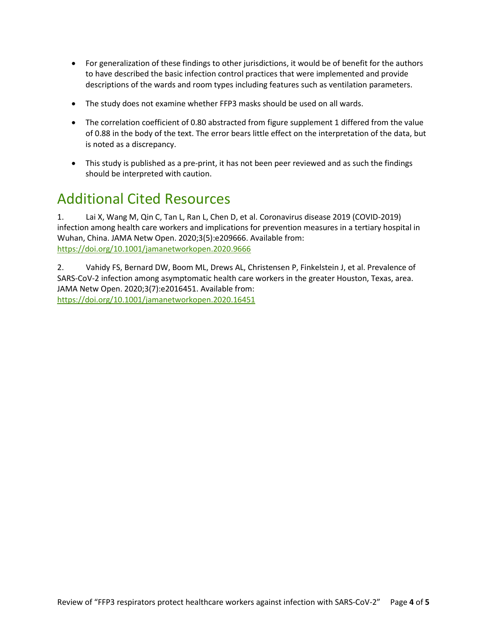- For generalization of these findings to other jurisdictions, it would be of benefit for the authors to have described the basic infection control practices that were implemented and provide descriptions of the wards and room types including features such as ventilation parameters.
- The study does not examine whether FFP3 masks should be used on all wards.
- The correlation coefficient of 0.80 abstracted from figure supplement 1 differed from the value of 0.88 in the body of the text. The error bears little effect on the interpretation of the data, but is noted as a discrepancy.
- This study is published as a pre-print, it has not been peer reviewed and as such the findings should be interpreted with caution.

#### Additional Cited Resources

1. Lai X, Wang M, Qin C, Tan L, Ran L, Chen D, et al. Coronavirus disease 2019 (COVID-2019) infection among health care workers and implications for prevention measures in a tertiary hospital in Wuhan, China. JAMA Netw Open. 2020;3(5):e209666. Available from: <https://doi.org/10.1001/jamanetworkopen.2020.9666>

2. Vahidy FS, Bernard DW, Boom ML, Drews AL, Christensen P, Finkelstein J, et al. Prevalence of SARS-CoV-2 infection among asymptomatic health care workers in the greater Houston, Texas, area. JAMA Netw Open. 2020;3(7):e2016451. Available from: <https://doi.org/10.1001/jamanetworkopen.2020.16451>